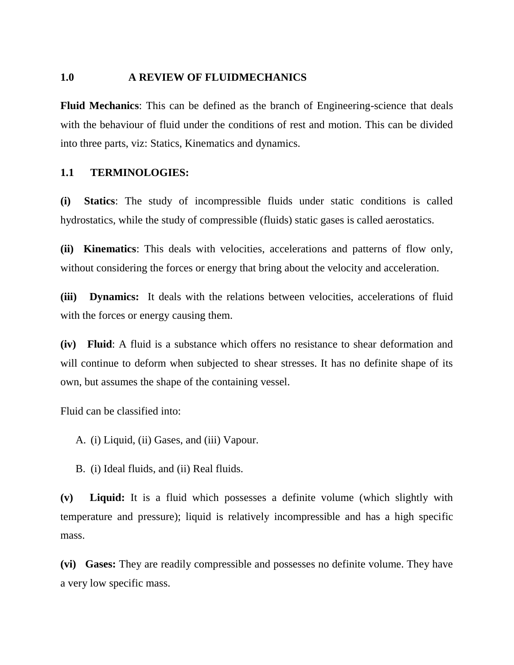#### **1.0 A REVIEW OF FLUIDMECHANICS**

**Fluid Mechanics**: This can be defined as the branch of Engineering-science that deals with the behaviour of fluid under the conditions of rest and motion. This can be divided into three parts, viz: Statics, Kinematics and dynamics.

### **1.1 TERMINOLOGIES:**

**(i) Statics**: The study of incompressible fluids under static conditions is called hydrostatics, while the study of compressible (fluids) static gases is called aerostatics.

**(ii) Kinematics**: This deals with velocities, accelerations and patterns of flow only, without considering the forces or energy that bring about the velocity and acceleration.

**(iii) Dynamics:** It deals with the relations between velocities, accelerations of fluid with the forces or energy causing them.

**(iv) Fluid**: A fluid is a substance which offers no resistance to shear deformation and will continue to deform when subjected to shear stresses. It has no definite shape of its own, but assumes the shape of the containing vessel.

Fluid can be classified into:

A. (i) Liquid, (ii) Gases, and (iii) Vapour.

B. (i) Ideal fluids, and (ii) Real fluids.

**(v) Liquid:** It is a fluid which possesses a definite volume (which slightly with temperature and pressure); liquid is relatively incompressible and has a high specific mass.

**(vi) Gases:** They are readily compressible and possesses no definite volume. They have a very low specific mass.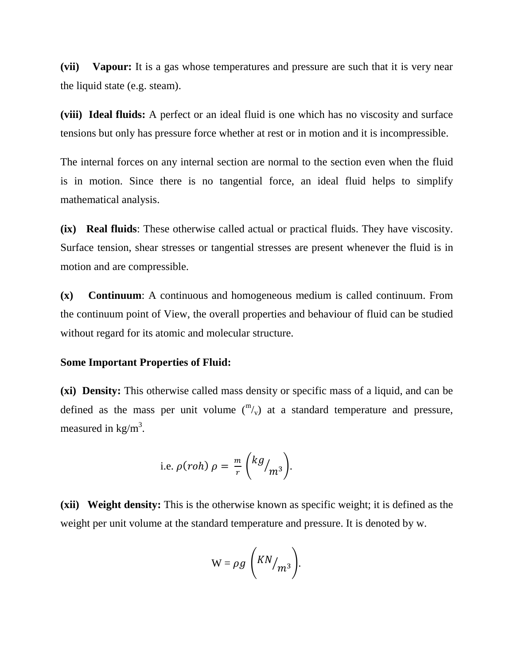**(vii) Vapour:** It is a gas whose temperatures and pressure are such that it is very near the liquid state (e.g. steam).

**(viii) Ideal fluids:** A perfect or an ideal fluid is one which has no viscosity and surface tensions but only has pressure force whether at rest or in motion and it is incompressible.

The internal forces on any internal section are normal to the section even when the fluid is in motion. Since there is no tangential force, an ideal fluid helps to simplify mathematical analysis.

**(ix) Real fluids**: These otherwise called actual or practical fluids. They have viscosity. Surface tension, shear stresses or tangential stresses are present whenever the fluid is in motion and are compressible.

**(x) Continuum**: A continuous and homogeneous medium is called continuum. From the continuum point of View, the overall properties and behaviour of fluid can be studied without regard for its atomic and molecular structure.

#### **Some Important Properties of Fluid:**

**(xi) Density:** This otherwise called mass density or specific mass of a liquid, and can be defined as the mass per unit volume  $\binom{m}{v}$  at a standard temperature and pressure, measured in  $\text{kg/m}^3$ .

i.e. 
$$
\rho(roh) \rho = \frac{m}{r} \left( \frac{kg}{m^3} \right)
$$
.

**(xii) Weight density:** This is the otherwise known as specific weight; it is defined as the weight per unit volume at the standard temperature and pressure. It is denoted by w.

$$
W = \rho g \left( \frac{KN}{m^3} \right).
$$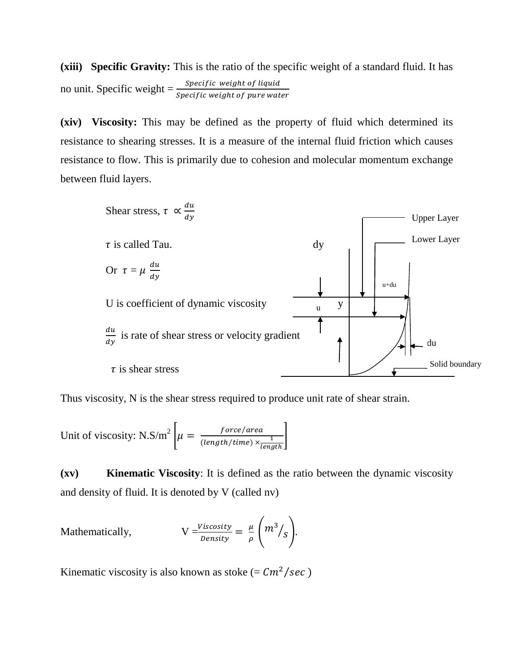**(xiii) Specific Gravity:** This is the ratio of the specific weight of a standard fluid. It has no unit. Specific weight  $=\frac{1}{s}$ 

**(xiv) Viscosity:** This may be defined as the property of fluid which determined its resistance to shearing stresses. It is a measure of the internal fluid friction which causes resistance to flow. This is primarily due to cohesion and molecular momentum exchange between fluid layers.



Thus viscosity, N is the shear stress required to produce unit rate of shear strain.

Unit of viscosity: N.S/m<sup>2</sup>  $\mu = \frac{force/a}{(1 + M/c)^2}$  $(length/time) \times \frac{1}{lcm}$ l  $\cdot$ 

**(xv) Kinematic Viscosity**: It is defined as the ratio between the dynamic viscosity and density of fluid. It is denoted by V (called nv)

Mathematically, 
$$
V = \frac{Viscosity}{Density} = \frac{\mu}{\rho} \left( m^3 / s \right).
$$

Kinematic viscosity is also known as stoke (=  $\mathcal{C}m^2/sec$ )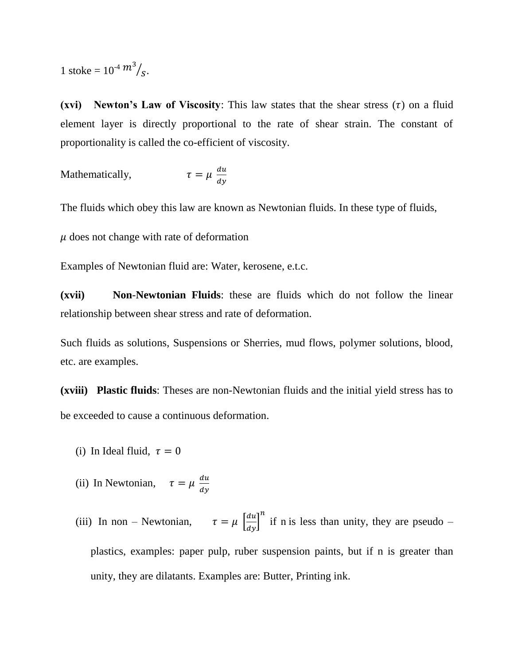1 stoke =  $10^{-4} m^3 / s$ .

**(xvi)** Newton's Law of Viscosity: This law states that the shear stress  $(\tau)$  on a fluid element layer is directly proportional to the rate of shear strain. The constant of proportionality is called the co-efficient of viscosity.

Mathematically,

$$
\tau = \mu \; \frac{du}{dy}
$$

The fluids which obey this law are known as Newtonian fluids. In these type of fluids,

 $\mu$  does not change with rate of deformation

Examples of Newtonian fluid are: Water, kerosene, e.t.c.

**(xvii) Non**-**Newtonian Fluids**: these are fluids which do not follow the linear relationship between shear stress and rate of deformation.

Such fluids as solutions, Suspensions or Sherries, mud flows, polymer solutions, blood, etc. are examples.

**(xviii) Plastic fluids**: Theses are non-Newtonian fluids and the initial yield stress has to be exceeded to cause a continuous deformation.

- (i) In Ideal fluid,  $\tau = 0$
- (ii) In Newtonian,  $\tau = \mu \frac{d}{dt}$  $\boldsymbol{d}$
- (iii) In non Newtonian,  $\tau = \mu \left[\frac{du}{dy}\right]$  $\boldsymbol{n}$ if n is less than unity, they are pseudo – plastics, examples: paper pulp, ruber suspension paints, but if n is greater than unity, they are dilatants. Examples are: Butter, Printing ink.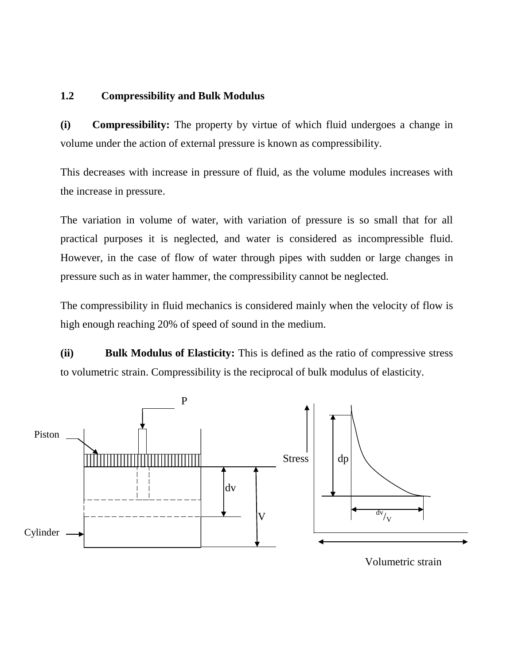# **1.2 Compressibility and Bulk Modulus**

**(i) Compressibility:** The property by virtue of which fluid undergoes a change in volume under the action of external pressure is known as compressibility.

This decreases with increase in pressure of fluid, as the volume modules increases with the increase in pressure.

The variation in volume of water, with variation of pressure is so small that for all practical purposes it is neglected, and water is considered as incompressible fluid. However, in the case of flow of water through pipes with sudden or large changes in pressure such as in water hammer, the compressibility cannot be neglected.

The compressibility in fluid mechanics is considered mainly when the velocity of flow is high enough reaching 20% of speed of sound in the medium.

**(ii) Bulk Modulus of Elasticity:** This is defined as the ratio of compressive stress to volumetric strain. Compressibility is the reciprocal of bulk modulus of elasticity.

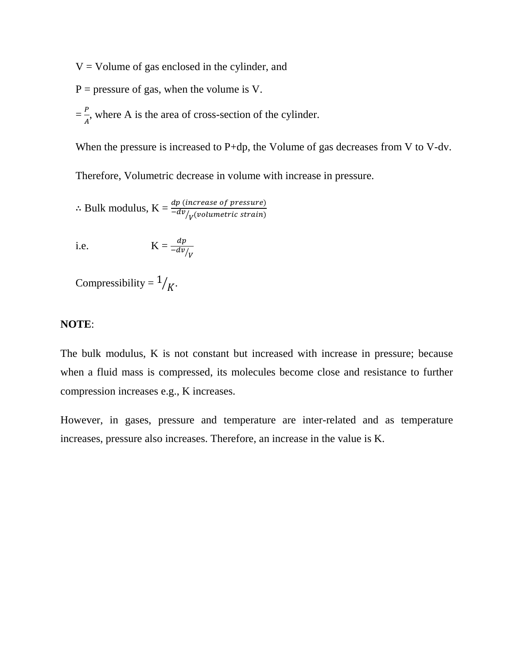$V =$  Volume of gas enclosed in the cylinder, and

- $P =$  pressure of gas, when the volume is V.
- $=\frac{P}{4}$  $\frac{F}{A}$ , where A is the area of cross-section of the cylinder.

When the pressure is increased to P+dp, the Volume of gas decreases from V to V-dv.

Therefore, Volumetric decrease in volume with increase in pressure.

 $\therefore$  Bulk modulus,  $\text{K} = \frac{dp \ (increase \ of \ pressure)}{-d v /_{V} (volume tric \ strain)}$ 

 $\sqrt{V}$ 

i.e. 
$$
K = \frac{d}{dt}
$$

Compressibility =  $\frac{1}{K}$ .

### **NOTE**:

The bulk modulus, K is not constant but increased with increase in pressure; because when a fluid mass is compressed, its molecules become close and resistance to further compression increases e.g., K increases.

However, in gases, pressure and temperature are inter-related and as temperature increases, pressure also increases. Therefore, an increase in the value is K.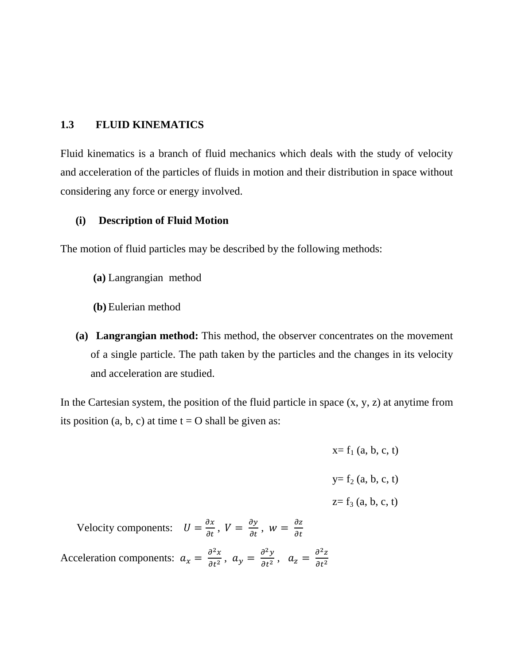# **1.3 FLUID KINEMATICS**

Fluid kinematics is a branch of fluid mechanics which deals with the study of velocity and acceleration of the particles of fluids in motion and their distribution in space without considering any force or energy involved.

### **(i) Description of Fluid Motion**

The motion of fluid particles may be described by the following methods:

- **(a)** Langrangian method
- **(b)** Eulerian method
- **(a) Langrangian method:** This method, the observer concentrates on the movement of a single particle. The path taken by the particles and the changes in its velocity and acceleration are studied.

In the Cartesian system, the position of the fluid particle in space  $(x, y, z)$  at anytime from its position (a, b, c) at time  $t = O$  shall be given as:

|                                                                                                                                                            | $x = f_1$ (a, b, c, t) |
|------------------------------------------------------------------------------------------------------------------------------------------------------------|------------------------|
|                                                                                                                                                            | $y = f_2(a, b, c, t)$  |
|                                                                                                                                                            | $z = f_3$ (a, b, c, t) |
| Velocity components: $U = \frac{\partial x}{\partial t}$ , $V = \frac{\partial y}{\partial t}$ , $w = \frac{\partial z}{\partial t}$                       |                        |
| Acceleration components: $a_x = \frac{\partial^2 x}{\partial t^2}$ , $a_y = \frac{\partial^2 y}{\partial t^2}$ , $a_z = \frac{\partial^2 z}{\partial t^2}$ |                        |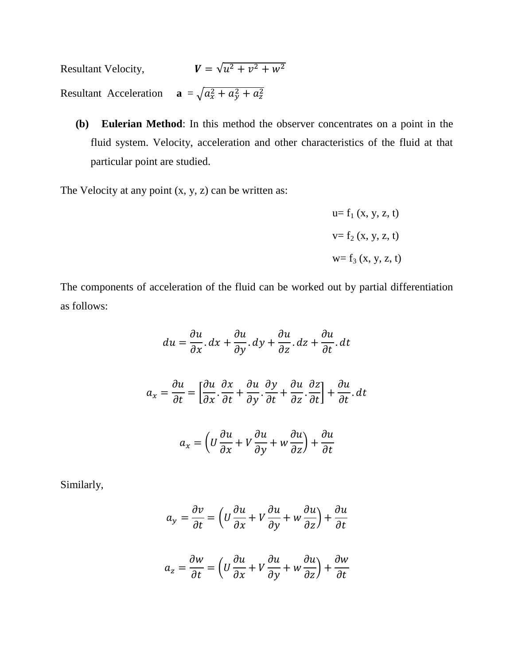Resultant Velocity,  $2^{2} + 12^{2}$ Resultant Acceleration **a** =  $\sqrt{a_x^2 + a_y^2 + a_z^2}$ 

**(b) Eulerian Method**: In this method the observer concentrates on a point in the fluid system. Velocity, acceleration and other characteristics of the fluid at that particular point are studied.

The Velocity at any point  $(x, y, z)$  can be written as:

$$
u = f_1(x, y, z, t)
$$
  

$$
v = f_2(x, y, z, t)
$$
  

$$
w = f_3(x, y, z, t)
$$

The components of acceleration of the fluid can be worked out by partial differentiation as follows:

$$
du = \frac{\partial u}{\partial x} \cdot dx + \frac{\partial u}{\partial y} \cdot dy + \frac{\partial u}{\partial z} \cdot dz + \frac{\partial u}{\partial t} \cdot dt
$$

$$
a_x = \frac{\partial u}{\partial t} = \left[ \frac{\partial u}{\partial x} \cdot \frac{\partial x}{\partial t} + \frac{\partial u}{\partial y} \cdot \frac{\partial y}{\partial t} + \frac{\partial u}{\partial z} \cdot \frac{\partial z}{\partial t} \right] + \frac{\partial u}{\partial t} \cdot dt
$$

$$
a_x = \left( U \frac{\partial u}{\partial x} + V \frac{\partial u}{\partial y} + w \frac{\partial u}{\partial z} \right) + \frac{\partial u}{\partial t}
$$

Similarly,

$$
a_y = \frac{\partial v}{\partial t} = \left( U \frac{\partial u}{\partial x} + V \frac{\partial u}{\partial y} + w \frac{\partial u}{\partial z} \right) + \frac{\partial u}{\partial t}
$$

$$
a_z = \frac{\partial w}{\partial t} = \left( U \frac{\partial u}{\partial x} + V \frac{\partial u}{\partial y} + w \frac{\partial u}{\partial z} \right) + \frac{\partial w}{\partial t}
$$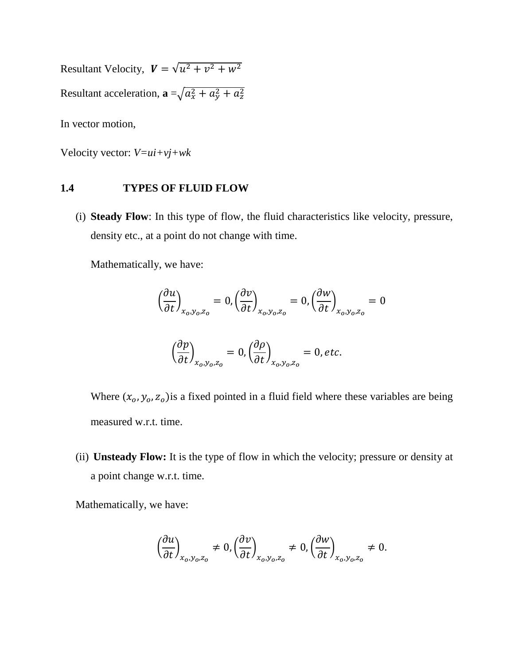Resultant Velocity,  $V = \sqrt{u^2 + v^2}$ Resultant acceleration,  $\mathbf{a} = \sqrt{a_x^2 + a_y^2 + a_z^2}$ In vector motion,

Velocity vector: *V=ui+vj+wk*

## **1.4 TYPES OF FLUID FLOW**

(i) **Steady Flow**: In this type of flow, the fluid characteristics like velocity, pressure, density etc., at a point do not change with time.

Mathematically, we have:

$$
\left(\frac{\partial u}{\partial t}\right)_{x_0, y_0, z_0} = 0, \left(\frac{\partial v}{\partial t}\right)_{x_0, y_0, z_0} = 0, \left(\frac{\partial w}{\partial t}\right)_{x_0, y_0, z_0} = 0
$$
\n
$$
\left(\frac{\partial p}{\partial t}\right)_{x_0, y_0, z_0} = 0, \left(\frac{\partial \rho}{\partial t}\right)_{x_0, y_0, z_0} = 0, \text{etc.}
$$

Where  $(x_0, y_0, z_0)$  is a fixed pointed in a fluid field where these variables are being measured w.r.t. time.

(ii) **Unsteady Flow:** It is the type of flow in which the velocity; pressure or density at a point change w.r.t. time.

Mathematically, we have:

$$
\left(\frac{\partial u}{\partial t}\right)_{x_0, y_0, z_0} \neq 0, \left(\frac{\partial v}{\partial t}\right)_{x_0, y_0, z_0} \neq 0, \left(\frac{\partial w}{\partial t}\right)_{x_0, y_0, z_0} \neq 0.
$$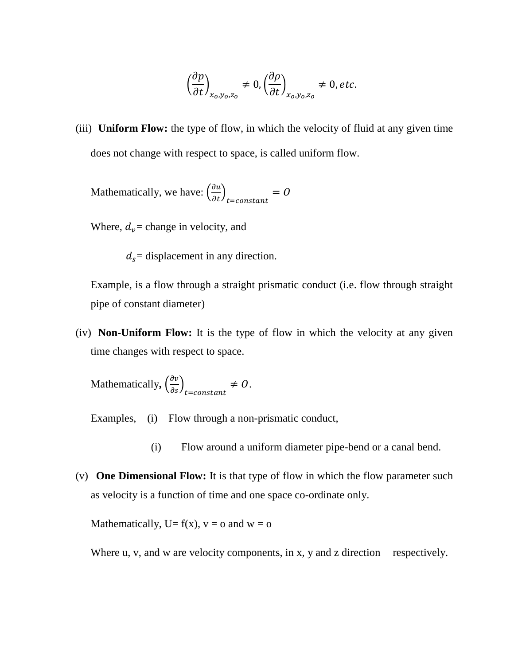$$
\left(\frac{\partial p}{\partial t}\right)_{x_0, y_0, z_0} \neq 0, \left(\frac{\partial \rho}{\partial t}\right)_{x_0, y_0, z_0} \neq 0, \text{etc.}
$$

(iii) **Uniform Flow:** the type of flow, in which the velocity of fluid at any given time does not change with respect to space, is called uniform flow.

Mathematically, we have:  $\left(\frac{\partial u}{\partial t}\right)_t$  $=$ 

Where,  $d_v$  = change in velocity, and

 $d_s$  = displacement in any direction.

Example, is a flow through a straight prismatic conduct (i.e. flow through straight pipe of constant diameter)

(iv) **Non-Uniform Flow:** It is the type of flow in which the velocity at any given time changes with respect to space.

Mathematically,  $\left(\frac{\partial v}{\partial s}\right)_t$  $\neq 0$ .

Examples, (i) Flow through a non-prismatic conduct,

- (i) Flow around a uniform diameter pipe-bend or a canal bend.
- (v) **One Dimensional Flow:** It is that type of flow in which the flow parameter such as velocity is a function of time and one space co-ordinate only.

Mathematically,  $U = f(x)$ ,  $v = o$  and  $w = o$ 

Where u, v, and w are velocity components, in x, y and z direction respectively.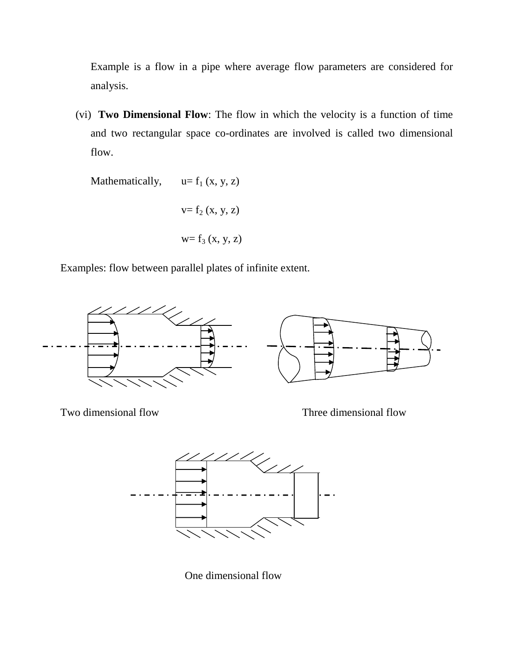Example is a flow in a pipe where average flow parameters are considered for analysis.

(vi) **Two Dimensional Flow**: The flow in which the velocity is a function of time and two rectangular space co-ordinates are involved is called two dimensional flow.

Mathematically, 
$$
u = f_1(x, y, z)
$$
  

$$
v = f_2(x, y, z)
$$

$$
w = f_3(x, y, z)
$$

Examples: flow between parallel plates of infinite extent.



Two dimensional flow Three dimensional flow



One dimensional flow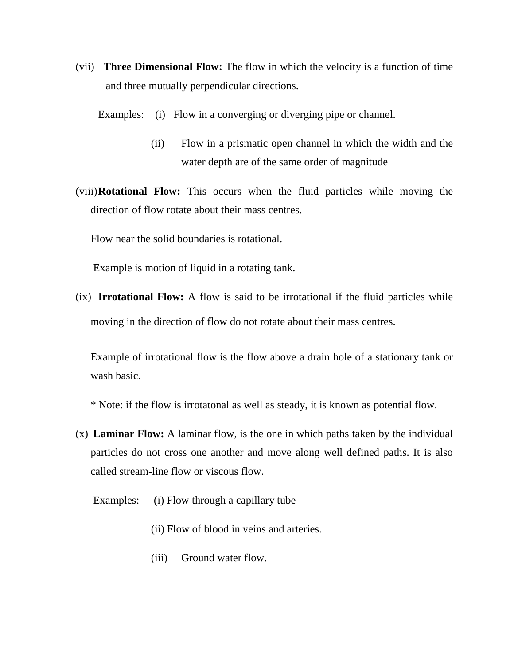(vii) **Three Dimensional Flow:** The flow in which the velocity is a function of time and three mutually perpendicular directions.

Examples: (i) Flow in a converging or diverging pipe or channel.

- (ii) Flow in a prismatic open channel in which the width and the water depth are of the same order of magnitude
- (viii)**Rotational Flow:** This occurs when the fluid particles while moving the direction of flow rotate about their mass centres.

Flow near the solid boundaries is rotational.

Example is motion of liquid in a rotating tank.

(ix) **Irrotational Flow:** A flow is said to be irrotational if the fluid particles while moving in the direction of flow do not rotate about their mass centres.

Example of irrotational flow is the flow above a drain hole of a stationary tank or wash basic.

\* Note: if the flow is irrotatonal as well as steady, it is known as potential flow.

- (x) **Laminar Flow:** A laminar flow, is the one in which paths taken by the individual particles do not cross one another and move along well defined paths. It is also called stream-line flow or viscous flow.
	- Examples: (i) Flow through a capillary tube
		- (ii) Flow of blood in veins and arteries.
		- (iii) Ground water flow.